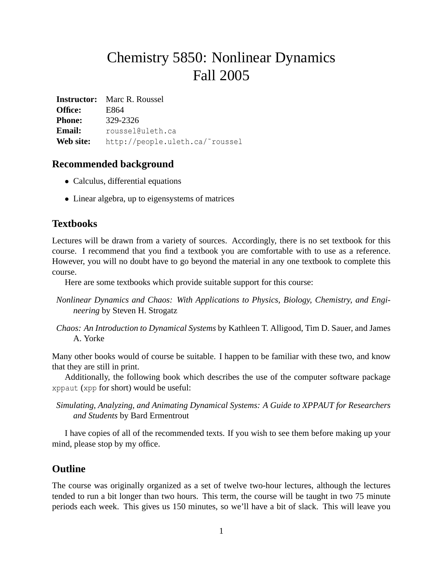# Chemistry 5850: Nonlinear Dynamics Fall 2005

**Instructor:** Marc R. Roussel **Office:** E864 **Phone:** 329-2326 Email: roussel@uleth.ca **Web site:** http://people.uleth.ca/˜roussel

### **Recommended background**

- Calculus, differential equations
- Linear algebra, up to eigensystems of matrices

### **Textbooks**

Lectures will be drawn from a variety of sources. Accordingly, there is no set textbook for this course. I recommend that you find a textbook you are comfortable with to use as a reference. However, you will no doubt have to go beyond the material in any one textbook to complete this course.

Here are some textbooks which provide suitable support for this course:

- *Nonlinear Dynamics and Chaos: With Applications to Physics, Biology, Chemistry, and Engineering* by Steven H. Strogatz
- *Chaos: An Introduction to Dynamical Systems* by Kathleen T. Alligood, Tim D. Sauer, and James A. Yorke

Many other books would of course be suitable. I happen to be familiar with these two, and know that they are still in print.

Additionally, the following book which describes the use of the computer software package xppaut (xpp for short) would be useful:

*Simulating, Analyzing, and Animating Dynamical Systems: A Guide to XPPAUT for Researchers and Students* by Bard Ermentrout

I have copies of all of the recommended texts. If you wish to see them before making up your mind, please stop by my office.

## **Outline**

The course was originally organized as a set of twelve two-hour lectures, although the lectures tended to run a bit longer than two hours. This term, the course will be taught in two 75 minute periods each week. This gives us 150 minutes, so we'll have a bit of slack. This will leave you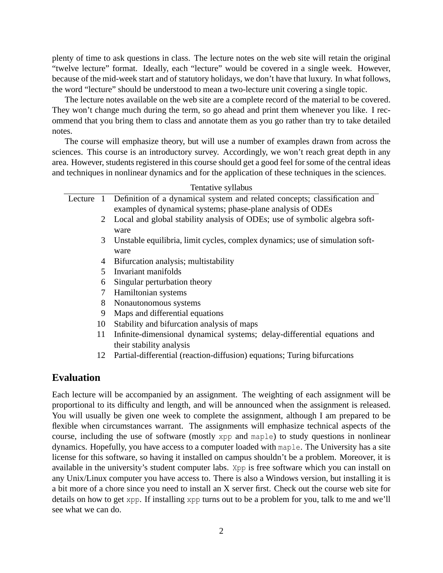plenty of time to ask questions in class. The lecture notes on the web site will retain the original "twelve lecture" format. Ideally, each "lecture" would be covered in a single week. However, because of the mid-week start and of statutory holidays, we don't have that luxury. In what follows, the word "lecture" should be understood to mean a two-lecture unit covering a single topic.

The lecture notes available on the web site are a complete record of the material to be covered. They won't change much during the term, so go ahead and print them whenever you like. I recommend that you bring them to class and annotate them as you go rather than try to take detailed notes.

The course will emphasize theory, but will use a number of examples drawn from across the sciences. This course is an introductory survey. Accordingly, we won't reach great depth in any area. However, students registered in this course should get a good feel for some of the central ideas and techniques in nonlinear dynamics and for the application of these techniques in the sciences.

|         |    | Tentative syllabus                                                                                   |  |  |
|---------|----|------------------------------------------------------------------------------------------------------|--|--|
| Lecture |    | Definition of a dynamical system and related concepts; classification and                            |  |  |
|         |    | examples of dynamical systems; phase-plane analysis of ODEs                                          |  |  |
|         | 2  | Local and global stability analysis of ODEs; use of symbolic algebra soft-<br>ware                   |  |  |
|         | 3  | Unstable equilibria, limit cycles, complex dynamics; use of simulation soft-<br>ware                 |  |  |
|         | 4  | Bifurcation analysis; multistability                                                                 |  |  |
|         | 5  | Invariant manifolds                                                                                  |  |  |
|         | 6  | Singular perturbation theory                                                                         |  |  |
|         |    | Hamiltonian systems                                                                                  |  |  |
|         | 8  | Nonautonomous systems                                                                                |  |  |
|         | 9  | Maps and differential equations                                                                      |  |  |
|         | 10 | Stability and bifurcation analysis of maps                                                           |  |  |
|         | 11 | Infinite-dimensional dynamical systems; delay-differential equations and<br>their stability analysis |  |  |

12 Partial-differential (reaction-diffusion) equations; Turing bifurcations

#### **Evaluation**

Each lecture will be accompanied by an assignment. The weighting of each assignment will be proportional to its difficulty and length, and will be announced when the assignment is released. You will usually be given one week to complete the assignment, although I am prepared to be flexible when circumstances warrant. The assignments will emphasize technical aspects of the course, including the use of software (mostly xpp and maple) to study questions in nonlinear dynamics. Hopefully, you have access to a computer loaded with maple. The University has a site license for this software, so having it installed on campus shouldn't be a problem. Moreover, it is available in the university's student computer labs. Xpp is free software which you can install on any Unix/Linux computer you have access to. There is also a Windows version, but installing it is a bit more of a chore since you need to install an X server first. Check out the course web site for details on how to get xpp. If installing xpp turns out to be a problem for you, talk to me and we'll see what we can do.